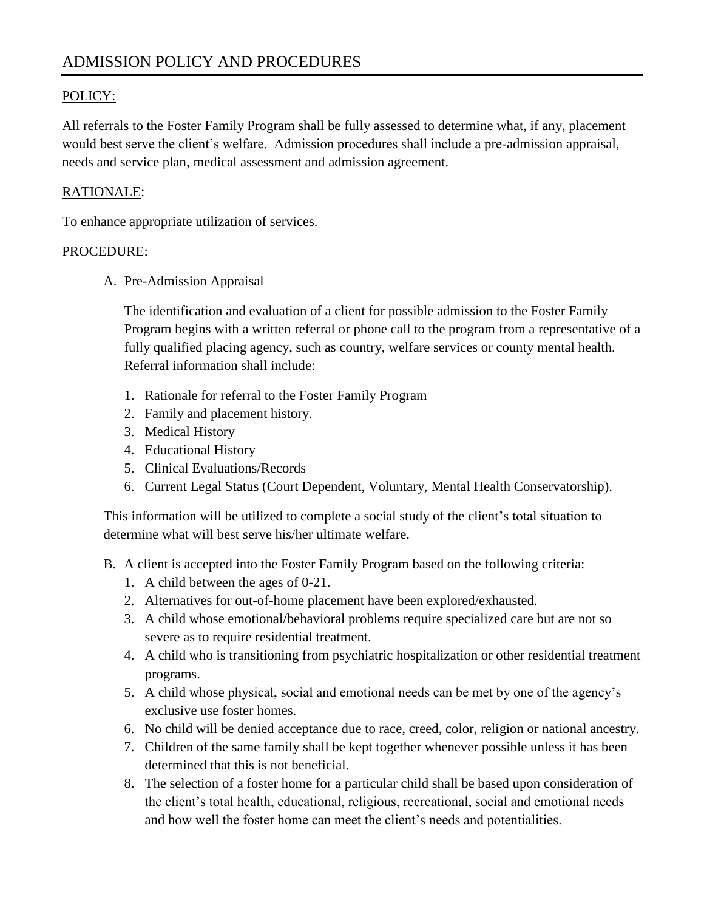## POLICY:

All referrals to the Foster Family Program shall be fully assessed to determine what, if any, placement would best serve the client's welfare. Admission procedures shall include a pre-admission appraisal, needs and service plan, medical assessment and admission agreement.

### RATIONALE:

To enhance appropriate utilization of services.

#### PROCEDURE:

A. Pre-Admission Appraisal

The identification and evaluation of a client for possible admission to the Foster Family Program begins with a written referral or phone call to the program from a representative of a fully qualified placing agency, such as country, welfare services or county mental health. Referral information shall include:

- 1. Rationale for referral to the Foster Family Program
- 2. Family and placement history.
- 3. Medical History
- 4. Educational History
- 5. Clinical Evaluations/Records
- 6. Current Legal Status (Court Dependent, Voluntary, Mental Health Conservatorship).

This information will be utilized to complete a social study of the client's total situation to determine what will best serve his/her ultimate welfare.

- B. A client is accepted into the Foster Family Program based on the following criteria:
	- 1. A child between the ages of 0-21.
	- 2. Alternatives for out-of-home placement have been explored/exhausted.
	- 3. A child whose emotional/behavioral problems require specialized care but are not so severe as to require residential treatment.
	- 4. A child who is transitioning from psychiatric hospitalization or other residential treatment programs.
	- 5. A child whose physical, social and emotional needs can be met by one of the agency's exclusive use foster homes.
	- 6. No child will be denied acceptance due to race, creed, color, religion or national ancestry.
	- 7. Children of the same family shall be kept together whenever possible unless it has been determined that this is not beneficial.
	- 8. The selection of a foster home for a particular child shall be based upon consideration of the client's total health, educational, religious, recreational, social and emotional needs and how well the foster home can meet the client's needs and potentialities.